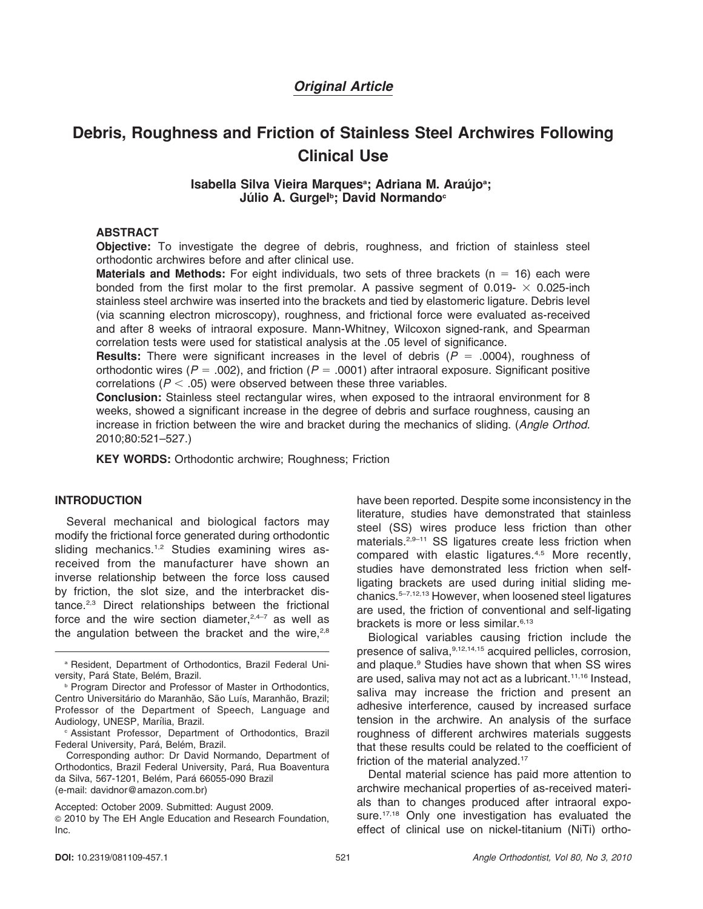# Original Article

# Debris, Roughness and Friction of Stainless Steel Archwires Following Clinical Use

#### Isabella Silva Vieira Marques<sup>a</sup>; Adriana M. Araújo<sup>a</sup>; Júlio A. Gurgel<sup>ь</sup>; David Normando<sup>c</sup>

#### ABSTRACT

Objective: To investigate the degree of debris, roughness, and friction of stainless steel orthodontic archwires before and after clinical use.

**Materials and Methods:** For eight individuals, two sets of three brackets ( $n = 16$ ) each were bonded from the first molar to the first premolar. A passive segment of 0.019-  $\times$  0.025-inch stainless steel archwire was inserted into the brackets and tied by elastomeric ligature. Debris level (via scanning electron microscopy), roughness, and frictional force were evaluated as-received and after 8 weeks of intraoral exposure. Mann-Whitney, Wilcoxon signed-rank, and Spearman correlation tests were used for statistical analysis at the .05 level of significance.

**Results:** There were significant increases in the level of debris ( $P = .0004$ ), roughness of orthodontic wires ( $P = .002$ ), and friction ( $P = .0001$ ) after intraoral exposure. Significant positive correlations ( $P < .05$ ) were observed between these three variables.

Conclusion: Stainless steel rectangular wires, when exposed to the intraoral environment for 8 weeks, showed a significant increase in the degree of debris and surface roughness, causing an increase in friction between the wire and bracket during the mechanics of sliding. (Angle Orthod. 2010;80:521–527.)

KEY WORDS: Orthodontic archwire; Roughness; Friction

#### INTRODUCTION

Several mechanical and biological factors may modify the frictional force generated during orthodontic sliding mechanics.<sup>1,2</sup> Studies examining wires asreceived from the manufacturer have shown an inverse relationship between the force loss caused by friction, the slot size, and the interbracket distance.2,3 Direct relationships between the frictional force and the wire section diameter, $2,4-7$  as well as the angulation between the bracket and the wire.<sup>2,8</sup> have been reported. Despite some inconsistency in the literature, studies have demonstrated that stainless steel (SS) wires produce less friction than other materials.<sup>2,9–11</sup> SS ligatures create less friction when compared with elastic ligatures.<sup>4,5</sup> More recently, studies have demonstrated less friction when selfligating brackets are used during initial sliding mechanics.5–7,12,13 However, when loosened steel ligatures are used, the friction of conventional and self-ligating brackets is more or less similar.<sup>6,13</sup>

Biological variables causing friction include the presence of saliva, 9,12,14,15 acquired pellicles, corrosion, and plaque.<sup>9</sup> Studies have shown that when SS wires are used, saliva may not act as a lubricant.11,16 Instead, saliva may increase the friction and present an adhesive interference, caused by increased surface tension in the archwire. An analysis of the surface roughness of different archwires materials suggests that these results could be related to the coefficient of friction of the material analyzed.<sup>17</sup>

Dental material science has paid more attention to archwire mechanical properties of as-received materials than to changes produced after intraoral exposure.<sup>17,18</sup> Only one investigation has evaluated the effect of clinical use on nickel-titanium (NiTi) ortho-

<sup>a</sup> Resident, Department of Orthodontics, Brazil Federal University, Pará State, Belém, Brazil.

**Program Director and Professor of Master in Orthodontics,** Centro Universitário do Maranhão, São Luís, Maranhão, Brazil; Professor of the Department of Speech, Language and Audiology, UNESP, Marília, Brazil.

<sup>c</sup> Assistant Professor, Department of Orthodontics, Brazil Federal University, Pará, Belém, Brazil.

Corresponding author: Dr David Normando, Department of Orthodontics, Brazil Federal University, Pará, Rua Boaventura da Silva, 567-1201, Belém, Pará 66055-090 Brazil (e-mail: davidnor@amazon.com.br)

Accepted: October 2009. Submitted: August 2009.

<sup>G</sup> 2010 by The EH Angle Education and Research Foundation, Inc.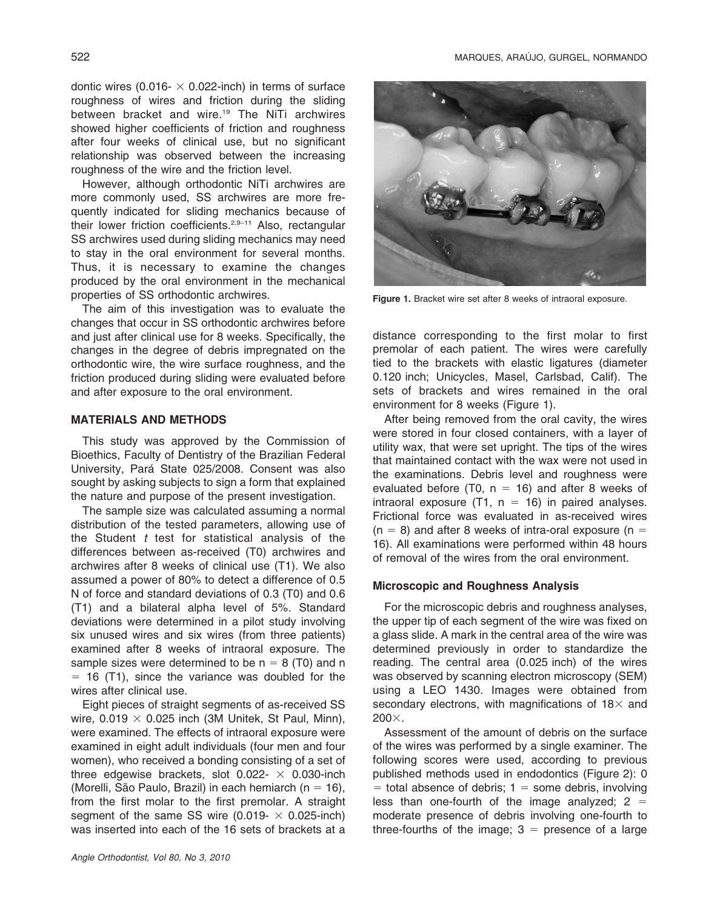dontic wires (0.016- $\times$  0.022-inch) in terms of surface roughness of wires and friction during the sliding between bracket and wire.19 The NiTi archwires showed higher coefficients of friction and roughness after four weeks of clinical use, but no significant relationship was observed between the increasing roughness of the wire and the friction level.

However, although orthodontic NiTi archwires are more commonly used, SS archwires are more frequently indicated for sliding mechanics because of their lower friction coefficients.<sup>2,9-11</sup> Also, rectangular SS archwires used during sliding mechanics may need to stay in the oral environment for several months. Thus, it is necessary to examine the changes produced by the oral environment in the mechanical properties of SS orthodontic archwires.

The aim of this investigation was to evaluate the changes that occur in SS orthodontic archwires before and just after clinical use for 8 weeks. Specifically, the changes in the degree of debris impregnated on the orthodontic wire, the wire surface roughness, and the friction produced during sliding were evaluated before and after exposure to the oral environment.

#### MATERIALS AND METHODS

This study was approved by the Commission of Bioethics, Faculty of Dentistry of the Brazilian Federal University, Pará State 025/2008. Consent was also sought by asking subjects to sign a form that explained the nature and purpose of the present investigation.

The sample size was calculated assuming a normal distribution of the tested parameters, allowing use of the Student  $t$  test for statistical analysis of the differences between as-received (T0) archwires and archwires after 8 weeks of clinical use (T1). We also assumed a power of 80% to detect a difference of 0.5 N of force and standard deviations of 0.3 (T0) and 0.6 (T1) and a bilateral alpha level of 5%. Standard deviations were determined in a pilot study involving six unused wires and six wires (from three patients) examined after 8 weeks of intraoral exposure. The sample sizes were determined to be  $n = 8$  (T0) and n  $=$  16 (T1), since the variance was doubled for the wires after clinical use.

Eight pieces of straight segments of as-received SS wire,  $0.019 \times 0.025$  inch (3M Unitek, St Paul, Minn), were examined. The effects of intraoral exposure were examined in eight adult individuals (four men and four women), who received a bonding consisting of a set of three edgewise brackets, slot  $0.022 - \times 0.030$ -inch (Morelli, São Paulo, Brazil) in each hemiarch (n = 16), from the first molar to the first premolar. A straight segment of the same SS wire  $(0.019 - \times 0.025$ -inch) was inserted into each of the 16 sets of brackets at a



Figure 1. Bracket wire set after 8 weeks of intraoral exposure.

distance corresponding to the first molar to first premolar of each patient. The wires were carefully tied to the brackets with elastic ligatures (diameter 0.120 inch; Unicycles, Masel, Carlsbad, Calif). The sets of brackets and wires remained in the oral environment for 8 weeks (Figure 1).

After being removed from the oral cavity, the wires were stored in four closed containers, with a layer of utility wax, that were set upright. The tips of the wires that maintained contact with the wax were not used in the examinations. Debris level and roughness were evaluated before (T0,  $n = 16$ ) and after 8 weeks of intraoral exposure (T1,  $n = 16$ ) in paired analyses. Frictional force was evaluated in as-received wires  $(n = 8)$  and after 8 weeks of intra-oral exposure  $(n = 1)$ 16). All examinations were performed within 48 hours of removal of the wires from the oral environment.

# Microscopic and Roughness Analysis

For the microscopic debris and roughness analyses, the upper tip of each segment of the wire was fixed on a glass slide. A mark in the central area of the wire was determined previously in order to standardize the reading. The central area (0.025 inch) of the wires was observed by scanning electron microscopy (SEM) using a LEO 1430. Images were obtained from secondary electrons, with magnifications of  $18\times$  and  $200\times$ .

Assessment of the amount of debris on the surface of the wires was performed by a single examiner. The following scores were used, according to previous published methods used in endodontics (Figure 2): 0  $=$  total absence of debris; 1 = some debris, involving less than one-fourth of the image analyzed;  $2 =$ moderate presence of debris involving one-fourth to three-fourths of the image;  $3 =$  presence of a large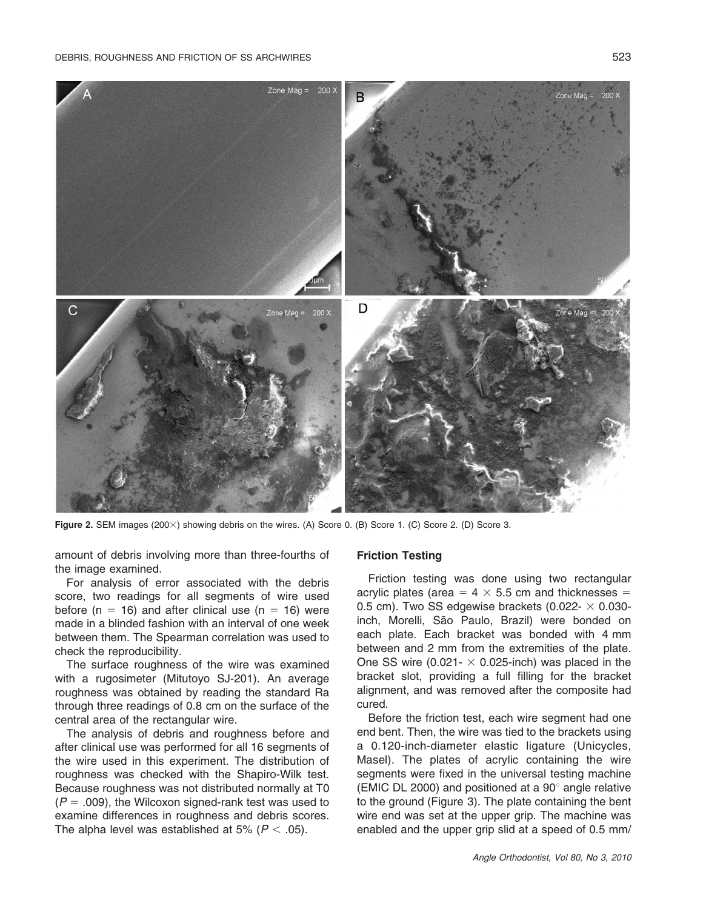

Figure 2. SEM images (200×) showing debris on the wires. (A) Score 0. (B) Score 1. (C) Score 2. (D) Score 3.

amount of debris involving more than three-fourths of the image examined.

For analysis of error associated with the debris score, two readings for all segments of wire used before (n = 16) and after clinical use (n = 16) were made in a blinded fashion with an interval of one week between them. The Spearman correlation was used to check the reproducibility.

The surface roughness of the wire was examined with a rugosimeter (Mitutoyo SJ-201). An average roughness was obtained by reading the standard Ra through three readings of 0.8 cm on the surface of the central area of the rectangular wire.

The analysis of debris and roughness before and after clinical use was performed for all 16 segments of the wire used in this experiment. The distribution of roughness was checked with the Shapiro-Wilk test. Because roughness was not distributed normally at T0  $(P = .009)$ , the Wilcoxon signed-rank test was used to examine differences in roughness and debris scores. The alpha level was established at 5% ( $P < .05$ ).

#### Friction Testing

Friction testing was done using two rectangular acrylic plates (area =  $4 \times 5.5$  cm and thicknesses = 0.5 cm). Two SS edgewise brackets (0.022- $\times$  0.030inch, Morelli, São Paulo, Brazil) were bonded on each plate. Each bracket was bonded with 4 mm between and 2 mm from the extremities of the plate. One SS wire (0.021-  $\times$  0.025-inch) was placed in the bracket slot, providing a full filling for the bracket alignment, and was removed after the composite had cured.

Before the friction test, each wire segment had one end bent. Then, the wire was tied to the brackets using a 0.120-inch-diameter elastic ligature (Unicycles, Masel). The plates of acrylic containing the wire segments were fixed in the universal testing machine (EMIC DL 2000) and positioned at a  $90^\circ$  angle relative to the ground (Figure 3). The plate containing the bent wire end was set at the upper grip. The machine was enabled and the upper grip slid at a speed of 0.5 mm/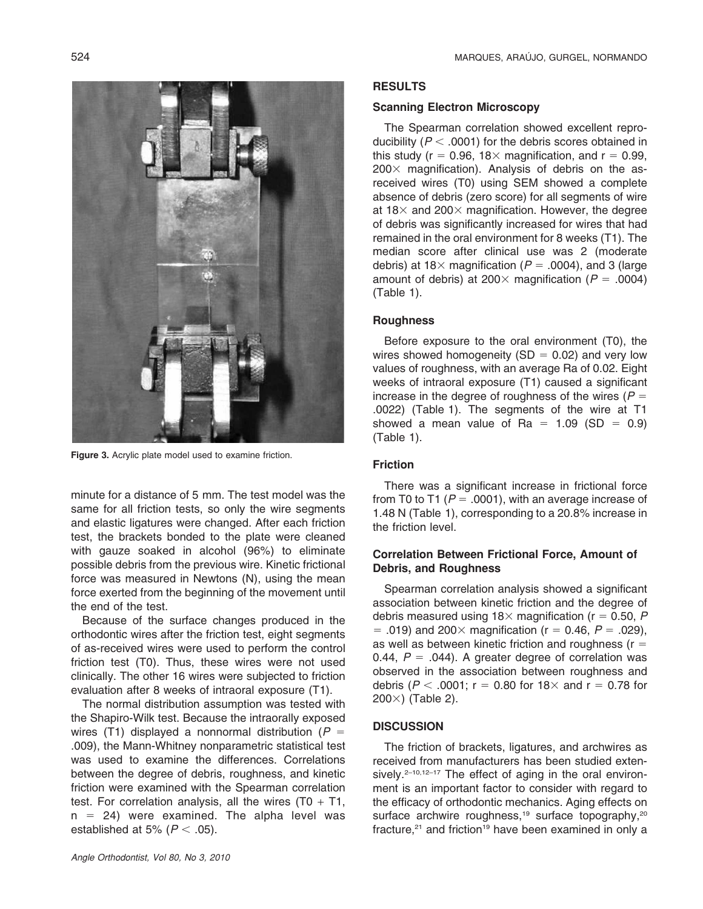Figure 3. Acrylic plate model used to examine friction.

minute for a distance of 5 mm. The test model was the same for all friction tests, so only the wire segments and elastic ligatures were changed. After each friction test, the brackets bonded to the plate were cleaned with gauze soaked in alcohol (96%) to eliminate possible debris from the previous wire. Kinetic frictional force was measured in Newtons (N), using the mean force exerted from the beginning of the movement until the end of the test.

Because of the surface changes produced in the orthodontic wires after the friction test, eight segments of as-received wires were used to perform the control friction test (T0). Thus, these wires were not used clinically. The other 16 wires were subjected to friction evaluation after 8 weeks of intraoral exposure (T1).

The normal distribution assumption was tested with the Shapiro-Wilk test. Because the intraorally exposed wires (T1) displayed a nonnormal distribution ( $P =$ .009), the Mann-Whitney nonparametric statistical test was used to examine the differences. Correlations between the degree of debris, roughness, and kinetic friction were examined with the Spearman correlation test. For correlation analysis, all the wires  $(T0 + T1)$ ,  $n = 24$ ) were examined. The alpha level was established at 5% ( $P < .05$ ).

### RESULTS

# Scanning Electron Microscopy

The Spearman correlation showed excellent reproducibility ( $P < .0001$ ) for the debris scores obtained in this study ( $r = 0.96$ , 18 $\times$  magnification, and  $r = 0.99$ ,  $200\times$  magnification). Analysis of debris on the asreceived wires (T0) using SEM showed a complete absence of debris (zero score) for all segments of wire at  $18\times$  and  $200\times$  magnification. However, the degree of debris was significantly increased for wires that had remained in the oral environment for 8 weeks (T1). The median score after clinical use was 2 (moderate debris) at 18 $\times$  magnification (P = .0004), and 3 (large amount of debris) at 200 $\times$  magnification ( $P = .0004$ ) (Table 1).

#### **Roughness**

Before exposure to the oral environment (T0), the wires showed homogeneity (SD  $= 0.02$ ) and very low values of roughness, with an average Ra of 0.02. Eight weeks of intraoral exposure (T1) caused a significant increase in the degree of roughness of the wires ( $P =$ .0022) (Table 1). The segments of the wire at T1 showed a mean value of Ra =  $1.09$  (SD = 0.9) (Table 1).

# Friction

There was a significant increase in frictional force from T0 to T1 ( $P = .0001$ ), with an average increase of 1.48 N (Table 1), corresponding to a 20.8% increase in the friction level.

### Correlation Between Frictional Force, Amount of Debris, and Roughness

Spearman correlation analysis showed a significant association between kinetic friction and the degree of debris measured using  $18\times$  magnification (r = 0.50, P 5 .019) and 200 $\times$  magnification (r = 0.46, P = .029), as well as between kinetic friction and roughness ( $r =$ 0.44,  $P = .044$ ). A greater degree of correlation was observed in the association between roughness and debris ( $P < .0001$ ; r = 0.80 for 18 $\times$  and r = 0.78 for  $200\times$ ) (Table 2).

# **DISCUSSION**

The friction of brackets, ligatures, and archwires as received from manufacturers has been studied extensively.<sup>2–10,12–17</sup> The effect of aging in the oral environment is an important factor to consider with regard to the efficacy of orthodontic mechanics. Aging effects on surface archwire roughness,<sup>19</sup> surface topography,<sup>20</sup> fracture, $21$  and friction<sup>19</sup> have been examined in only a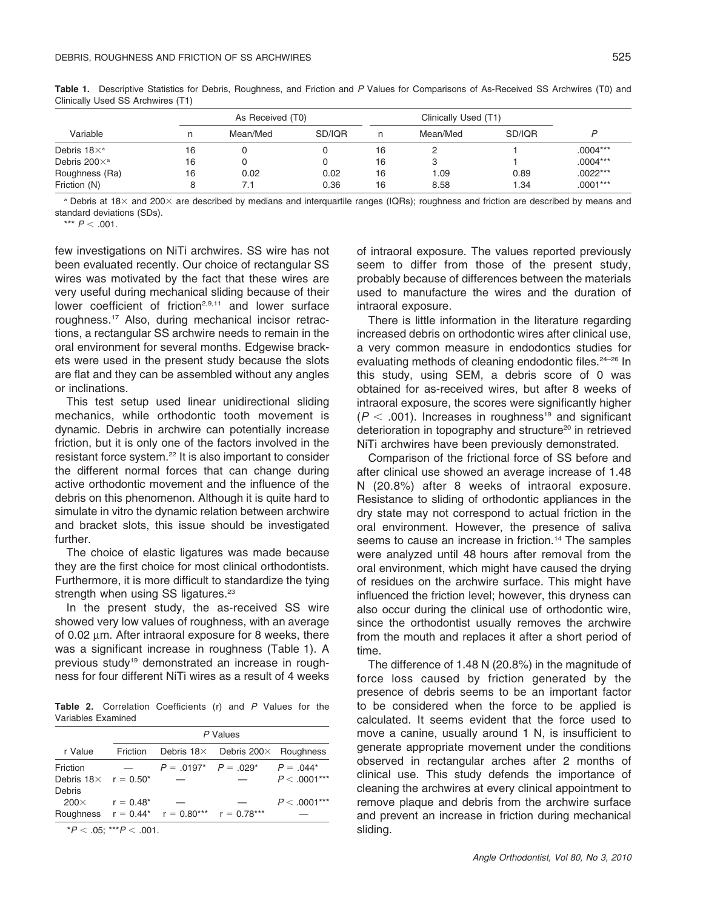|                                | As Received (T0) |          |              | Clinically Used (T1) |              |             |                          |
|--------------------------------|------------------|----------|--------------|----------------------|--------------|-------------|--------------------------|
| Variable                       |                  | Mean/Med | SD/IOR       | n                    | Mean/Med     | SD/IOR      |                          |
| Debris $18\times$ <sup>a</sup> | 16               |          |              | 16                   |              |             | $.0004***$               |
| Debris $200\times^a$           | 16               |          |              | 16                   | З            |             | $.0004***$               |
| Roughness (Ra)<br>Friction (N) | 16               | 0.02     | 0.02<br>0.36 | 16<br>16             | 1.09<br>8.58 | 0.89<br>.34 | $.0022***$<br>$.0001***$ |

Table 1. Descriptive Statistics for Debris, Roughness, and Friction and P Values for Comparisons of As-Received SS Archwires (T0) and Clinically Used SS Archwires (T1)

<sup>a</sup> Debris at 18× and 200× are described by medians and interquartile ranges (IQRs); roughness and friction are described by means and standard deviations (SDs).

\*\*\*  $P < .001$ .

few investigations on NiTi archwires. SS wire has not been evaluated recently. Our choice of rectangular SS wires was motivated by the fact that these wires are very useful during mechanical sliding because of their lower coefficient of friction<sup>2,9,11</sup> and lower surface roughness.17 Also, during mechanical incisor retractions, a rectangular SS archwire needs to remain in the oral environment for several months. Edgewise brackets were used in the present study because the slots are flat and they can be assembled without any angles or inclinations.

This test setup used linear unidirectional sliding mechanics, while orthodontic tooth movement is dynamic. Debris in archwire can potentially increase friction, but it is only one of the factors involved in the resistant force system.22 It is also important to consider the different normal forces that can change during active orthodontic movement and the influence of the debris on this phenomenon. Although it is quite hard to simulate in vitro the dynamic relation between archwire and bracket slots, this issue should be investigated further.

The choice of elastic ligatures was made because they are the first choice for most clinical orthodontists. Furthermore, it is more difficult to standardize the tying strength when using SS ligatures.<sup>23</sup>

In the present study, the as-received SS wire showed very low values of roughness, with an average of 0.02  $\mu$ m. After intraoral exposure for 8 weeks, there was a significant increase in roughness (Table 1). A previous study<sup>19</sup> demonstrated an increase in roughness for four different NiTi wires as a result of 4 weeks

Table 2. Correlation Coefficients (r) and P Values for the Variables Examined

|                                           |                                                                                                                                                                                                                                                                                                                                    | P Values                                                 |                                                 |                                |  |  |  |  |
|-------------------------------------------|------------------------------------------------------------------------------------------------------------------------------------------------------------------------------------------------------------------------------------------------------------------------------------------------------------------------------------|----------------------------------------------------------|-------------------------------------------------|--------------------------------|--|--|--|--|
| r Value                                   | Friction                                                                                                                                                                                                                                                                                                                           |                                                          | Debris $18\times$ Debris 200 $\times$ Roughness |                                |  |  |  |  |
| Friction<br>Debris $18 \times r = 0.50^*$ |                                                                                                                                                                                                                                                                                                                                    | $P = .0197^*$ $P = .029^*$                               |                                                 | $P = 0.044*$<br>$P < .0001***$ |  |  |  |  |
| Debris                                    |                                                                                                                                                                                                                                                                                                                                    |                                                          |                                                 |                                |  |  |  |  |
| $200\times$                               | $r = 0.48*$                                                                                                                                                                                                                                                                                                                        |                                                          |                                                 | $P < .0001***$                 |  |  |  |  |
|                                           |                                                                                                                                                                                                                                                                                                                                    | Roughness $r = 0.44^*$ $r = 0.80^{***}$ $r = 0.78^{***}$ |                                                 |                                |  |  |  |  |
|                                           | $\mathbf{r}$ $\mathbf{r}$ $\mathbf{r}$ $\mathbf{r}$ $\mathbf{r}$ $\mathbf{r}$ $\mathbf{r}$ $\mathbf{r}$ $\mathbf{r}$ $\mathbf{r}$ $\mathbf{r}$ $\mathbf{r}$ $\mathbf{r}$ $\mathbf{r}$ $\mathbf{r}$ $\mathbf{r}$ $\mathbf{r}$ $\mathbf{r}$ $\mathbf{r}$ $\mathbf{r}$ $\mathbf{r}$ $\mathbf{r}$ $\mathbf{r}$ $\mathbf{r}$ $\mathbf{$ |                                                          |                                                 |                                |  |  |  |  |

 ${}^\star P < .05$ :  ${}^{\star\star\star}P < .001$ .

of intraoral exposure. The values reported previously seem to differ from those of the present study, probably because of differences between the materials used to manufacture the wires and the duration of intraoral exposure.

There is little information in the literature regarding increased debris on orthodontic wires after clinical use, a very common measure in endodontics studies for evaluating methods of cleaning endodontic files.<sup>24-26</sup> In this study, using SEM, a debris score of 0 was obtained for as-received wires, but after 8 weeks of intraoral exposure, the scores were significantly higher  $(P < .001)$ . Increases in roughness<sup>19</sup> and significant deterioration in topography and structure<sup>20</sup> in retrieved NiTi archwires have been previously demonstrated.

Comparison of the frictional force of SS before and after clinical use showed an average increase of 1.48 N (20.8%) after 8 weeks of intraoral exposure. Resistance to sliding of orthodontic appliances in the dry state may not correspond to actual friction in the oral environment. However, the presence of saliva seems to cause an increase in friction.<sup>14</sup> The samples were analyzed until 48 hours after removal from the oral environment, which might have caused the drying of residues on the archwire surface. This might have influenced the friction level; however, this dryness can also occur during the clinical use of orthodontic wire, since the orthodontist usually removes the archwire from the mouth and replaces it after a short period of time.

The difference of 1.48 N (20.8%) in the magnitude of force loss caused by friction generated by the presence of debris seems to be an important factor to be considered when the force to be applied is calculated. It seems evident that the force used to move a canine, usually around 1 N, is insufficient to generate appropriate movement under the conditions observed in rectangular arches after 2 months of clinical use. This study defends the importance of cleaning the archwires at every clinical appointment to remove plaque and debris from the archwire surface and prevent an increase in friction during mechanical sliding.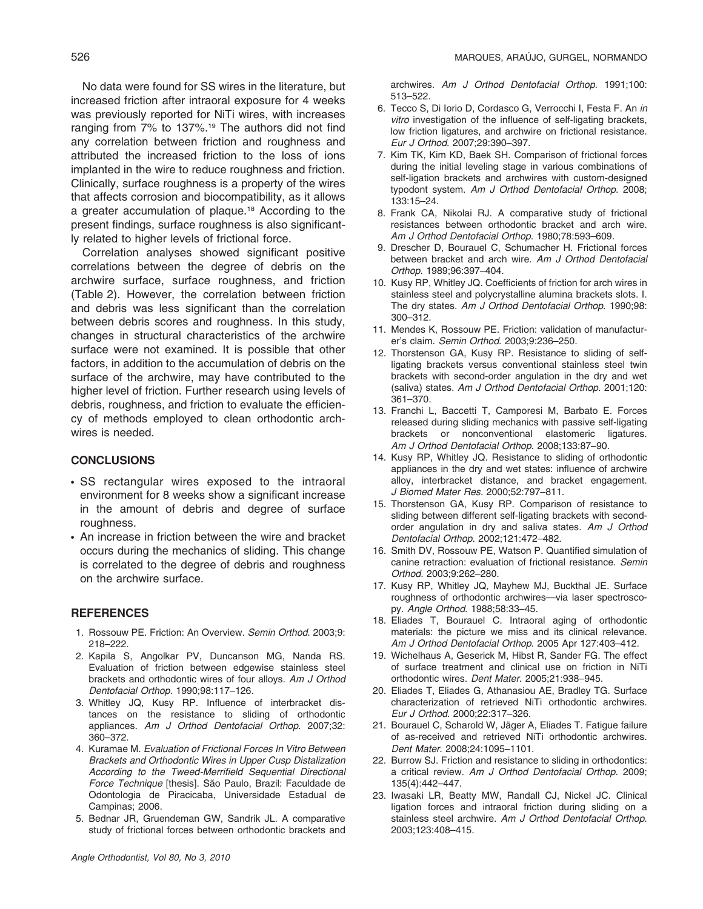No data were found for SS wires in the literature, but increased friction after intraoral exposure for 4 weeks was previously reported for NiTi wires, with increases ranging from 7% to 137%.<sup>19</sup> The authors did not find any correlation between friction and roughness and attributed the increased friction to the loss of ions implanted in the wire to reduce roughness and friction. Clinically, surface roughness is a property of the wires that affects corrosion and biocompatibility, as it allows a greater accumulation of plaque.18 According to the present findings, surface roughness is also significantly related to higher levels of frictional force.

Correlation analyses showed significant positive correlations between the degree of debris on the archwire surface, surface roughness, and friction (Table 2). However, the correlation between friction and debris was less significant than the correlation between debris scores and roughness. In this study, changes in structural characteristics of the archwire surface were not examined. It is possible that other factors, in addition to the accumulation of debris on the surface of the archwire, may have contributed to the higher level of friction. Further research using levels of debris, roughness, and friction to evaluate the efficiency of methods employed to clean orthodontic archwires is needed.

#### **CONCLUSIONS**

- SS rectangular wires exposed to the intraoral environment for 8 weeks show a significant increase in the amount of debris and degree of surface roughness.
- An increase in friction between the wire and bracket occurs during the mechanics of sliding. This change is correlated to the degree of debris and roughness on the archwire surface.

#### **REFERENCES**

- 1. Rossouw PE. Friction: An Overview. Semin Orthod. 2003;9: 218–222.
- 2. Kapila S, Angolkar PV, Duncanson MG, Nanda RS. Evaluation of friction between edgewise stainless steel brackets and orthodontic wires of four alloys. Am J Orthod Dentofacial Orthop. 1990;98:117–126.
- 3. Whitley JQ, Kusy RP. Influence of interbracket distances on the resistance to sliding of orthodontic appliances. Am J Orthod Dentofacial Orthop. 2007;32: 360–372.
- 4. Kuramae M. Evaluation of Frictional Forces In Vitro Between Brackets and Orthodontic Wires in Upper Cusp Distalization According to the Tweed-Merrifield Sequential Directional Force Technique [thesis]. São Paulo, Brazil: Faculdade de Odontologia de Piracicaba, Universidade Estadual de Campinas; 2006.
- 5. Bednar JR, Gruendeman GW, Sandrik JL. A comparative study of frictional forces between orthodontic brackets and

archwires. Am J Orthod Dentofacial Orthop. 1991;100: 513–522.

- 6. Tecco S, Di Iorio D, Cordasco G, Verrocchi I, Festa F. An in vitro investigation of the influence of self-ligating brackets, low friction ligatures, and archwire on frictional resistance. Eur J Orthod. 2007;29:390–397.
- 7. Kim TK, Kim KD, Baek SH. Comparison of frictional forces during the initial leveling stage in various combinations of self-ligation brackets and archwires with custom-designed typodont system. Am J Orthod Dentofacial Orthop. 2008; 133:15–24.
- 8. Frank CA, Nikolai RJ. A comparative study of frictional resistances between orthodontic bracket and arch wire. Am J Orthod Dentofacial Orthop. 1980;78:593–609.
- 9. Drescher D, Bourauel C, Schumacher H. Frictional forces between bracket and arch wire. Am J Orthod Dentofacial Orthop. 1989;96:397–404.
- 10. Kusy RP, Whitley JQ. Coefficients of friction for arch wires in stainless steel and polycrystalline alumina brackets slots. I. The dry states. Am J Orthod Dentofacial Orthop. 1990;98: 300–312.
- 11. Mendes K, Rossouw PE. Friction: validation of manufacturer's claim. Semin Orthod. 2003;9:236–250.
- 12. Thorstenson GA, Kusy RP. Resistance to sliding of selfligating brackets versus conventional stainless steel twin brackets with second-order angulation in the dry and wet (saliva) states. Am J Orthod Dentofacial Orthop. 2001;120: 361–370.
- 13. Franchi L, Baccetti T, Camporesi M, Barbato E. Forces released during sliding mechanics with passive self-ligating brackets or nonconventional elastomeric ligatures. Am J Orthod Dentofacial Orthop. 2008;133:87–90.
- 14. Kusy RP, Whitley JQ. Resistance to sliding of orthodontic appliances in the dry and wet states: influence of archwire alloy, interbracket distance, and bracket engagement. J Biomed Mater Res. 2000;52:797–811.
- 15. Thorstenson GA, Kusy RP. Comparison of resistance to sliding between different self-ligating brackets with secondorder angulation in dry and saliva states. Am J Orthod Dentofacial Orthop. 2002;121:472–482.
- 16. Smith DV, Rossouw PE, Watson P. Quantified simulation of canine retraction: evaluation of frictional resistance. Semin Orthod. 2003;9:262–280.
- 17. Kusy RP, Whitley JQ, Mayhew MJ, Buckthal JE. Surface roughness of orthodontic archwires—via laser spectroscopy. Angle Orthod. 1988;58:33–45.
- 18. Eliades T, Bourauel C. Intraoral aging of orthodontic materials: the picture we miss and its clinical relevance. Am J Orthod Dentofacial Orthop. 2005 Apr 127:403–412.
- 19. Wichelhaus A, Geserick M, Hibst R, Sander FG. The effect of surface treatment and clinical use on friction in NiTi orthodontic wires. Dent Mater. 2005;21:938–945.
- 20. Eliades T, Eliades G, Athanasiou AE, Bradley TG. Surface characterization of retrieved NiTi orthodontic archwires. Eur J Orthod. 2000;22:317–326.
- 21. Bourauel C, Scharold W, Jäger A, Eliades T. Fatigue failure of as-received and retrieved NiTi orthodontic archwires. Dent Mater. 2008;24:1095–1101.
- 22. Burrow SJ. Friction and resistance to sliding in orthodontics: a critical review. Am J Orthod Dentofacial Orthop. 2009; 135(4):442–447.
- 23. Iwasaki LR, Beatty MW, Randall CJ, Nickel JC. Clinical ligation forces and intraoral friction during sliding on a stainless steel archwire. Am J Orthod Dentofacial Orthop. 2003;123:408–415.